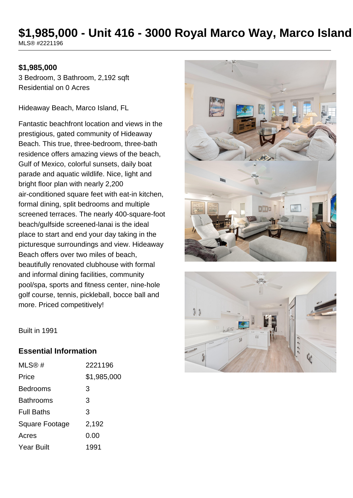# **\$1,985,000 - Unit 416 - 3000 Royal Marco Way, Marco Island**

MLS® #2221196

#### **\$1,985,000**

3 Bedroom, 3 Bathroom, 2,192 sqft Residential on 0 Acres

Hideaway Beach, Marco Island, FL

Fantastic beachfront location and views in the prestigious, gated community of Hideaway Beach. This true, three-bedroom, three-bath residence offers amazing views of the beach, Gulf of Mexico, colorful sunsets, daily boat parade and aquatic wildlife. Nice, light and bright floor plan with nearly 2,200 air-conditioned square feet with eat-in kitchen, formal dining, split bedrooms and multiple screened terraces. The nearly 400-square-foot beach/gulfside screened-lanai is the ideal place to start and end your day taking in the picturesque surroundings and view. Hideaway Beach offers over two miles of beach, beautifully renovated clubhouse with formal and informal dining facilities, community pool/spa, sports and fitness center, nine-hole golf course, tennis, pickleball, bocce ball and more. Priced competitively!





Built in 1991

#### **Essential Information**

| $MLS@$ #          | 2221196     |
|-------------------|-------------|
| Price             | \$1,985,000 |
| Bedrooms          | 3           |
| Bathrooms         | 3           |
| <b>Full Baths</b> | 3           |
| Square Footage    | 2,192       |
| Acres             | 0.00        |
| Year Built        | 1991        |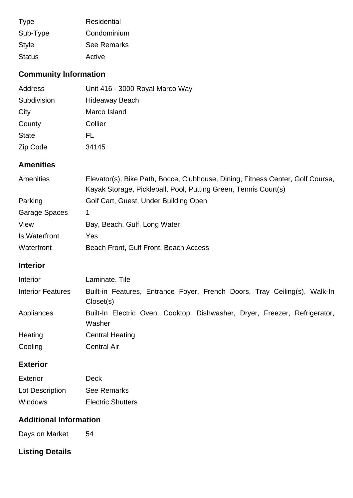| <b>Type</b>   | Residential        |
|---------------|--------------------|
| Sub-Type      | Condominium        |
| <b>Style</b>  | <b>See Remarks</b> |
| <b>Status</b> | Active             |

# **Community Information**

| Address      | Unit 416 - 3000 Royal Marco Way |
|--------------|---------------------------------|
| Subdivision  | <b>Hideaway Beach</b>           |
| City         | Marco Island                    |
| County       | Collier                         |
| <b>State</b> | FL.                             |
| Zip Code     | 34145                           |

### **Amenities**

| <b>Amenities</b> | Elevator(s), Bike Path, Bocce, Clubhouse, Dining, Fitness Center, Golf Course, |  |  |
|------------------|--------------------------------------------------------------------------------|--|--|
|                  | Kayak Storage, Pickleball, Pool, Putting Green, Tennis Court(s)                |  |  |
| Parking          | Golf Cart, Guest, Under Building Open                                          |  |  |
| Garage Spaces    | 1                                                                              |  |  |
| View             | Bay, Beach, Gulf, Long Water                                                   |  |  |
| Is Waterfront    | Yes                                                                            |  |  |
| Waterfront       | Beach Front, Gulf Front, Beach Access                                          |  |  |

## **Interior**

| Interior                 | Laminate, Tile                                                                         |
|--------------------------|----------------------------------------------------------------------------------------|
| <b>Interior Features</b> | Built-in Features, Entrance Foyer, French Doors, Tray Ceiling(s), Walk-In<br>Closet(s) |
| Appliances               | Built-In Electric Oven, Cooktop, Dishwasher, Dryer, Freezer, Refrigerator,<br>Washer   |
| Heating                  | <b>Central Heating</b>                                                                 |
| Cooling                  | <b>Central Air</b>                                                                     |

### **Exterior**

| Exterior        | Deck                     |
|-----------------|--------------------------|
| Lot Description | See Remarks              |
| <b>Windows</b>  | <b>Electric Shutters</b> |

## **Additional Information**

Days on Market 54

# **Listing Details**